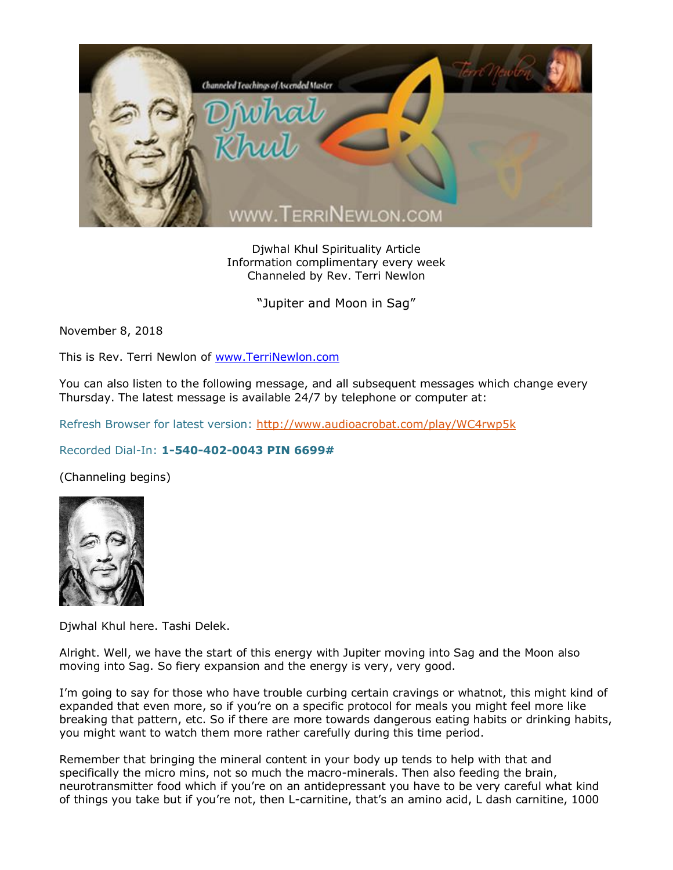

Djwhal Khul Spirituality Article Information complimentary every week Channeled by Rev. Terri Newlon

"Jupiter and Moon in Sag"

November 8, 2018

This is Rev. Terri Newlon of [www.TerriNewlon.com](http://www.terrinewlon.com/)

You can also listen to the following message, and all subsequent messages which change every Thursday. The latest message is available 24/7 by telephone or computer at:

Refresh Browser for latest version:<http://www.audioacrobat.com/play/WC4rwp5k>

## Recorded Dial-In: **1-540-402-0043 PIN 6699#**

(Channeling begins)



Djwhal Khul here. Tashi Delek.

Alright. Well, we have the start of this energy with Jupiter moving into Sag and the Moon also moving into Sag. So fiery expansion and the energy is very, very good.

I'm going to say for those who have trouble curbing certain cravings or whatnot, this might kind of expanded that even more, so if you're on a specific protocol for meals you might feel more like breaking that pattern, etc. So if there are more towards dangerous eating habits or drinking habits, you might want to watch them more rather carefully during this time period.

Remember that bringing the mineral content in your body up tends to help with that and specifically the micro mins, not so much the macro-minerals. Then also feeding the brain, neurotransmitter food which if you're on an antidepressant you have to be very careful what kind of things you take but if you're not, then L-carnitine, that's an amino acid, L dash carnitine, 1000